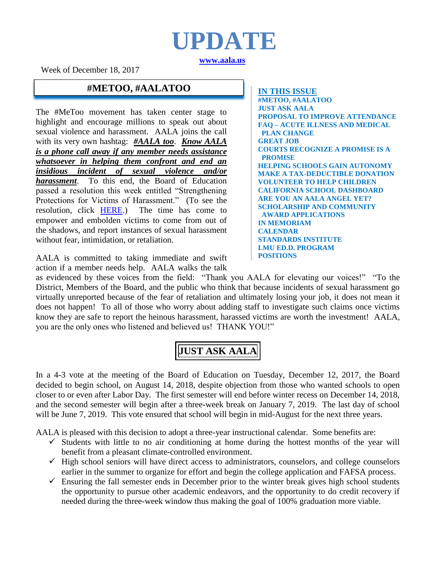# **UPDATE [www.aala.us](http://www.aala.us/)**

Week of December 18, 2017

### **#METOO, #AALATOO IN THIS ISSUE**

The #MeToo movement has taken center stage to highlight and encourage millions to speak out about sexual violence and harassment. AALA joins the call with its very own hashtag: *#AALA too*. *Know AALA is a phone call away if any member needs assistance whatsoever in helping them confront and end an insidious incident of sexual violence and/or harassment*. To this end, the Board of Education passed a resolution this week entitled "Strengthening Protections for Victims of Harassment." (To see the resolution, click [HERE.](http://www.aala.us/docs/2017/12/Harassment-Resolution.pdf)) The time has come to empower and embolden victims to come from out of the shadows, and report instances of sexual harassment without fear, intimidation, or retaliation.

AALA is committed to taking immediate and swift action if a member needs help. AALA walks the talk

**#METOO, #AALATOO JUST ASK AALA PROPOSAL TO IMPROVE ATTENDANCE FAQ – ACUTE ILLNESS AND MEDICAL PLAN CHANGE GREAT JOB COURTS RECOGNIZE A PROMISE IS A PROMISE HELPING SCHOOLS GAIN AUTONOMY MAKE A TAX-DEDUCTIBLE DONATION VOLUNTEER TO HELP CHILDREN CALIFORNIA SCHOOL DASHBOARD ARE YOU AN AALA ANGEL YET? SCHOLARSHIP AND COMMUNITY AWARD APPLICATIONS IN MEMORIAM CALENDAR STANDARDS INSTITUTE LMU ED.D. PROGRAM POSITIONS**

as evidenced by these voices from the field: "Thank you AALA for elevating our voices!" "To the District, Members of the Board, and the public who think that because incidents of sexual harassment go virtually unreported because of the fear of retaliation and ultimately losing your job, it does not mean it does not happen! To all of those who worry about adding staff to investigate such claims once victims know they are safe to report the heinous harassment, harassed victims are worth the investment! AALA, you are the only ones who listened and believed us! THANK YOU!"

**JUST ASK AALA**

In a 4-3 vote at the meeting of the Board of Education on Tuesday, December 12, 2017, the Board decided to begin school, on August 14, 2018, despite objection from those who wanted schools to open closer to or even after Labor Day. The first semester will end before winter recess on December 14, 2018, and the second semester will begin after a three-week break on January 7, 2019. The last day of school will be June 7, 2019. This vote ensured that school will begin in mid-August for the next three years.

AALA is pleased with this decision to adopt a three-year instructional calendar. Some benefits are:

- $\checkmark$  Students with little to no air conditioning at home during the hottest months of the year will benefit from a pleasant climate-controlled environment.
- $\checkmark$  High school seniors will have direct access to administrators, counselors, and college counselors earlier in the summer to organize for effort and begin the college application and FAFSA process.
- $\checkmark$  Ensuring the fall semester ends in December prior to the winter break gives high school students the opportunity to pursue other academic endeavors, and the opportunity to do credit recovery if needed during the three-week window thus making the goal of 100% graduation more viable.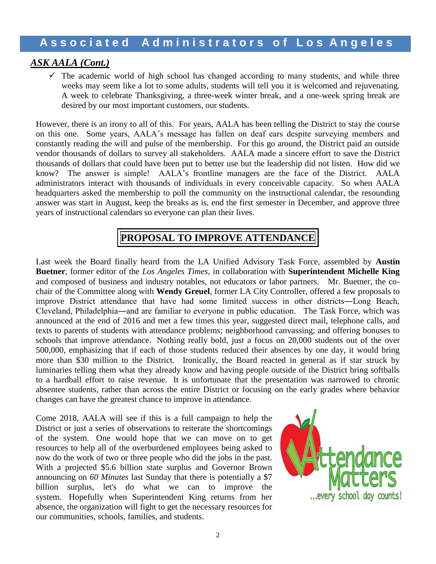### *ASK AALA (Cont.)*

 $\checkmark$  The academic world of high school has changed according to many students, and while three weeks may seem like a lot to some adults, students will tell you it is welcomed and rejuvenating. A week to celebrate Thanksgiving, a three-week winter break, and a one-week spring break are desired by our most important customers, our students.

However, there is an irony to all of this. For years, AALA has been telling the District to stay the course on this one. Some years, AALA's message has fallen on deaf ears despite surveying members and constantly reading the will and pulse of the membership. For this go around, the District paid an outside vendor thousands of dollars to survey all stakeholders. AALA made a sincere effort to save the District thousands of dollars that could have been put to better use but the leadership did not listen. How did we know? The answer is simple! AALA's frontline managers are the face of the District. AALA administrators interact with thousands of individuals in every conceivable capacity. So when AALA headquarters asked the membership to poll the community on the instructional calendar, the resounding answer was start in August, keep the breaks as is, end the first semester in December, and approve three years of instructional calendars so everyone can plan their lives.

# **PROPOSAL TO IMPROVE ATTENDANCE**

Last week the Board finally heard from the LA Unified Advisory Task Force, assembled by **Austin Buetner**, former editor of the *Los Angeles Times*, in collaboration with **Superintendent Michelle King** and composed of business and industry notables, not educators or labor partners. Mr. Buetner, the cochair of the Committee along with **Wendy Greuel**, former LA City Controller, offered a few proposals to improve District attendance that have had some limited success in other districts―Long Beach, Cleveland, Philadelphia―and are familiar to everyone in public education. The Task Force, which was announced at the end of 2016 and met a few times this year, suggested direct mail, telephone calls, and texts to parents of students with attendance problems; neighborhood canvassing; and offering bonuses to schools that improve attendance. Nothing really bold, just a focus on 20,000 students out of the over 500,000, emphasizing that if each of those students reduced their absences by one day, it would bring more than \$30 million to the District. Ironically, the Board reacted in general as if star struck by luminaries telling them what they already know and having people outside of the District bring softballs to a hardball effort to raise revenue. It is unfortunate that the presentation was narrowed to chronic absentee students, rather than across the entire District or focusing on the early grades where behavior changes can have the greatest chance to improve in attendance.

Come 2018, AALA will see if this is a full campaign to help the District or just a series of observations to reiterate the shortcomings of the system. One would hope that we can move on to get resources to help all of the overburdened employees being asked to now do the work of two or three people who did the jobs in the past. With a projected \$5.6 billion state surplus and Governor Brown announcing on *60 Minutes* last Sunday that there is potentially a \$7 billion surplus, let's do what we can to improve the system. Hopefully when Superintendent King returns from her absence, the organization will fight to get the necessary resources for our communities, schools, families, and students.

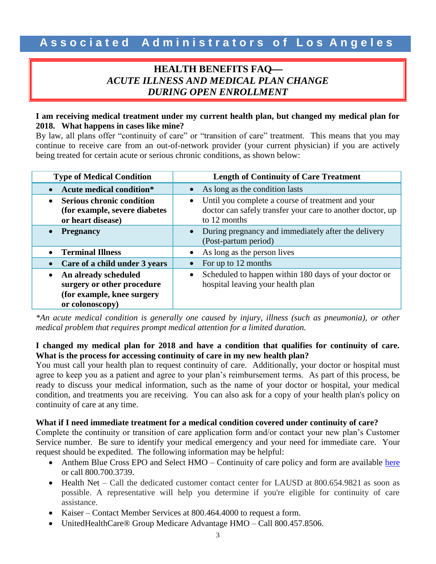### **HEALTH BENEFITS FAQ** *ACUTE ILLNESS AND MEDICAL PLAN CHANGE DURING OPEN ENROLLMENT*

### **I am receiving medical treatment under my current health plan, but changed my medical plan for 2018. What happens in cases like mine?**

By law, all plans offer "continuity of care" or "transition of care" treatment. This means that you may continue to receive care from an out-of-network provider (your current physician) if you are actively being treated for certain acute or serious chronic conditions, as shown below:

| <b>Type of Medical Condition</b>                                                                    | <b>Length of Continuity of Care Treatment</b>                                                                                                |  |  |
|-----------------------------------------------------------------------------------------------------|----------------------------------------------------------------------------------------------------------------------------------------------|--|--|
| <b>Acute medical condition*</b>                                                                     | As long as the condition lasts                                                                                                               |  |  |
| <b>Serious chronic condition</b><br>(for example, severe diabetes<br>or heart disease)              | Until you complete a course of treatment and your<br>$\bullet$<br>doctor can safely transfer your care to another doctor, up<br>to 12 months |  |  |
| <b>Pregnancy</b>                                                                                    | During pregnancy and immediately after the delivery<br>(Post-partum period)                                                                  |  |  |
| <b>Terminal Illness</b>                                                                             | As long as the person lives                                                                                                                  |  |  |
| Care of a child under 3 years                                                                       | For up to 12 months                                                                                                                          |  |  |
| An already scheduled<br>surgery or other procedure<br>(for example, knee surgery<br>or colonoscopy) | Scheduled to happen within 180 days of your doctor or<br>$\bullet$<br>hospital leaving your health plan                                      |  |  |

*\*An acute medical condition is generally one caused by injury, illness (such as pneumonia), or other medical problem that requires prompt medical attention for a limited duration.*

### **I changed my medical plan for 2018 and have a condition that qualifies for continuity of care. What is the process for accessing continuity of care in my new health plan?**

You must call your health plan to request continuity of care. Additionally, your doctor or hospital must agree to keep you as a patient and agree to your plan's reimbursement terms. As part of this process, be ready to discuss your medical information, such as the name of your doctor or hospital, your medical condition, and treatments you are receiving. You can also ask for a copy of your health plan's policy on continuity of care at any time.

### **What if I need immediate treatment for a medical condition covered under continuity of care?**

Complete the continuity or transition of care application form and/or contact your new plan's Customer Service number. Be sure to identify your medical emergency and your need for immediate care. Your request should be expedited. The following information may be helpful:

- Anthem Blue Cross EPO and Select HMO Continuity of care policy and form are available [here](https://www11.anthem.com/ca/provider/f5/s3/t3/pw_e234998.pdf) or call 800.700.3739.
- Health Net Call the dedicated customer contact center for LAUSD at 800.654.9821 as soon as possible. A representative will help you determine if you're eligible for continuity of care assistance.
- Kaiser Contact Member Services at 800.464.4000 to request a form.
- UnitedHealthCare® Group Medicare Advantage HMO Call 800.457.8506.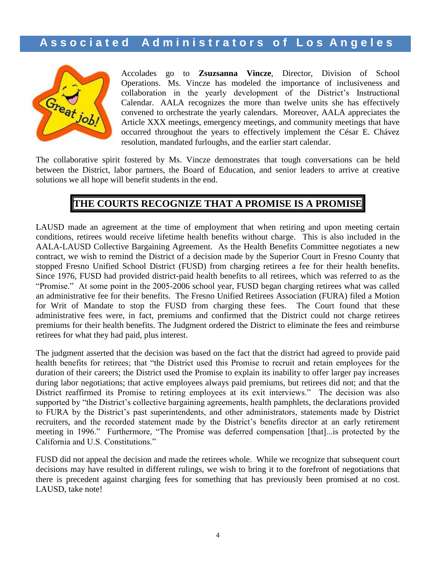

Accolades go to **Zsuzsanna Vincze**, Director, Division of School Operations. Ms. Vincze has modeled the importance of inclusiveness and collaboration in the yearly development of the District's Instructional Calendar. AALA recognizes the more than twelve units she has effectively convened to orchestrate the yearly calendars. Moreover, AALA appreciates the Article XXX meetings, emergency meetings, and community meetings that have occurred throughout the years to effectively implement the César E. Chávez resolution, mandated furloughs, and the earlier start calendar.

The collaborative spirit fostered by Ms. Vincze demonstrates that tough conversations can be held between the District, labor partners, the Board of Education, and senior leaders to arrive at creative solutions we all hope will benefit students in the end.

## **THE COURTS RECOGNIZE THAT A PROMISE IS A PROMISE**

LAUSD made an agreement at the time of employment that when retiring and upon meeting certain conditions, retirees would receive lifetime health benefits without charge. This is also included in the AALA-LAUSD Collective Bargaining Agreement. As the Health Benefits Committee negotiates a new contract, we wish to remind the District of a decision made by the Superior Court in Fresno County that stopped Fresno Unified School District (FUSD) from charging retirees a fee for their health benefits. Since 1976, FUSD had provided district-paid health benefits to all retirees, which was referred to as the "Promise." At some point in the 2005-2006 school year, FUSD began charging retirees what was called an administrative fee for their benefits. The Fresno Unified Retirees Association (FURA) filed a Motion for Writ of Mandate to stop the FUSD from charging these fees. The Court found that these administrative fees were, in fact, premiums and confirmed that the District could not charge retirees premiums for their health benefits. The Judgment ordered the District to eliminate the fees and reimburse retirees for what they had paid, plus interest.

The judgment asserted that the decision was based on the fact that the district had agreed to provide paid health benefits for retirees; that "the District used this Promise to recruit and retain employees for the duration of their careers; the District used the Promise to explain its inability to offer larger pay increases during labor negotiations; that active employees always paid premiums, but retirees did not; and that the District reaffirmed its Promise to retiring employees at its exit interviews." The decision was also supported by "the District's collective bargaining agreements, health pamphlets, the declarations provided to FURA by the District's past superintendents, and other administrators, statements made by District recruiters, and the recorded statement made by the District's benefits director at an early retirement meeting in 1996." Furthermore, "The Promise was deferred compensation [that]...is protected by the California and U.S. Constitutions."

FUSD did not appeal the decision and made the retirees whole. While we recognize that subsequent court decisions may have resulted in different rulings, we wish to bring it to the forefront of negotiations that there is precedent against charging fees for something that has previously been promised at no cost. LAUSD, take note!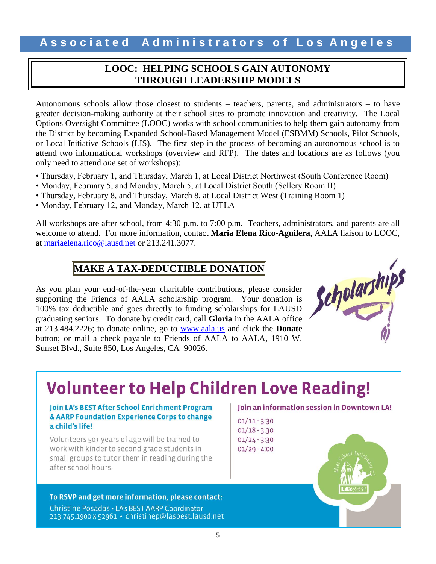### **LOOC: HELPING SCHOOLS GAIN AUTONOMY THROUGH LEADERSHIP MODELS**

Autonomous schools allow those closest to students – teachers, parents, and administrators – to have greater decision-making authority at their school sites to promote innovation and creativity. The Local Options Oversight Committee (LOOC) works with school communities to help them gain autonomy from the District by becoming Expanded School-Based Management Model (ESBMM) Schools, Pilot Schools, or Local Initiative Schools (LIS). The first step in the process of becoming an autonomous school is to attend two informational workshops (overview and RFP). The dates and locations are as follows (you only need to attend *one* set of workshops):

- Thursday, February 1, and Thursday, March 1, at Local District Northwest (South Conference Room)
- Monday, February 5, and Monday, March 5, at Local District South (Sellery Room II)
- Thursday, February 8, and Thursday, March 8, at Local District West (Training Room 1)
- Monday, February 12, and Monday, March 12, at UTLA

All workshops are after school, from 4:30 p.m. to 7:00 p.m. Teachers, administrators, and parents are all welcome to attend. For more information, contact **Maria Elena Rico-Aguilera**, AALA liaison to LOOC, at [mariaelena.rico@lausd.net](mailto:mariaelena.rico@lausd.net) or 213.241.3077.

# **MAKE A TAX-DEDUCTIBLE DONATION**

As you plan your end-of-the-year charitable contributions, please consider supporting the Friends of AALA scholarship program. Your donation is 100% tax deductible and goes directly to funding scholarships for LAUSD graduating seniors. To donate by credit card, call **Gloria** in the AALA office at 213.484.2226; to donate online, go to [www.aala.us](http://www.aala.us/) and click the **Donate** button; or mail a check payable to Friends of AALA to AALA, 1910 W. Sunset Blvd., Suite 850, Los Angeles, CA 90026.



# **Volunteer to Help Children Love Reading!**

#### Join LA's BEST After School Enrichment Program & AARP Foundation Experience Corps to change a child's life!

Volunteers 50+ years of age will be trained to work with kinder to second grade students in small groups to tutor them in reading during the after school hours.

#### To RSVP and get more information, please contact:

Christine Posadas . LA's BEST AARP Coordinator 213.745.1900 x 52961 · christinep@lasbest.lausd.net

#### Join an information session in Downtown LA!

 $01/11 - 3:30$  $01/18 - 3:30$  $01/24 - 3:30$  $01/29 - 4:00$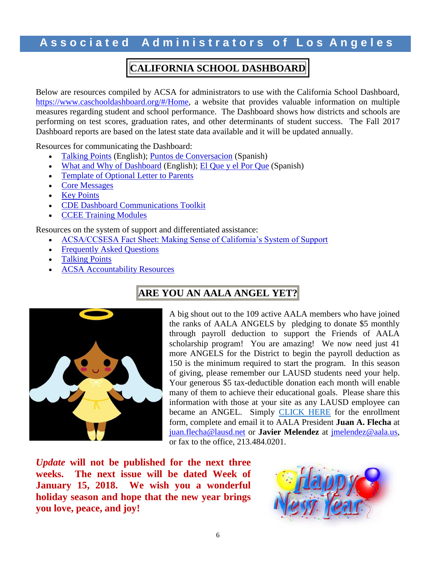# **CALIFORNIA SCHOOL DASHBOARD**

Below are resources compiled by ACSA for administrators to use with the California School Dashboard, [https://www.caschooldashboard.org/#/Home,](https://www.caschooldashboard.org/#/Home) a website that provides valuable information on multiple measures regarding student and school performance. The Dashboard shows how districts and schools are performing on test scores, graduation rates, and other determinants of student success. The Fall 2017 Dashboard reports are based on the latest state data available and it will be updated annually.

Resources for communicating the Dashboard:

- [Talking Points](https://na01.safelinks.protection.outlook.com/?url=https%3A%2F%2Facsa.us8.list-manage.com%2Ftrack%2Fclick%3Fu%3D0ed07bebf845b4591af89a358%26id%3Dd3403940eb%26e%3Db2d3bff8aa&data=02%7C01%7Cjuan.flecha%40lausd.net%7C8a3d3acfa095411b680608d540f3f201%7C042a40a1b1284ac48648016ffa121487%7C1%7C0%7C636486338839888111&sdata=6wx4XfOyPpKJuNRFL%2F0tf0DJQSOnLmVUcyqay1Id%2FZI%3D&reserved=0) (English); [Puntos de Conversacion](https://na01.safelinks.protection.outlook.com/?url=https%3A%2F%2Facsa.us8.list-manage.com%2Ftrack%2Fclick%3Fu%3D0ed07bebf845b4591af89a358%26id%3Db78051a3ad%26e%3Db2d3bff8aa&data=02%7C01%7Cjuan.flecha%40lausd.net%7C8a3d3acfa095411b680608d540f3f201%7C042a40a1b1284ac48648016ffa121487%7C1%7C0%7C636486338839888111&sdata=rKWPTsqxA7g9V34p%2Fv05%2FIJwx6DcHfOvQv4dKB7Uuxw%3D&reserved=0) (Spanish)
- [What and Why of Dashboard](https://na01.safelinks.protection.outlook.com/?url=https%3A%2F%2Facsa.us8.list-manage.com%2Ftrack%2Fclick%3Fu%3D0ed07bebf845b4591af89a358%26id%3Df901b700f2%26e%3Db2d3bff8aa&data=02%7C01%7Cjuan.flecha%40lausd.net%7C8a3d3acfa095411b680608d540f3f201%7C042a40a1b1284ac48648016ffa121487%7C1%7C0%7C636486338839888111&sdata=Zf1%2Bv7%2FfSmX7QQMlgzlt%2FuSrwzLspnDRv6TbE0Rs1DY%3D&reserved=0) (English); [El Que y el Por Que](https://na01.safelinks.protection.outlook.com/?url=https%3A%2F%2Facsa.us8.list-manage.com%2Ftrack%2Fclick%3Fu%3D0ed07bebf845b4591af89a358%26id%3D443454555f%26e%3Db2d3bff8aa&data=02%7C01%7Cjuan.flecha%40lausd.net%7C8a3d3acfa095411b680608d540f3f201%7C042a40a1b1284ac48648016ffa121487%7C1%7C0%7C636486338839888111&sdata=RL8juvt71kciK%2B62P4RcPYzPMkxeBtwT2hqpznWXdFE%3D&reserved=0) (Spanish)
- [Template of Optional Letter to Parents](https://na01.safelinks.protection.outlook.com/?url=https%3A%2F%2Facsa.us8.list-manage.com%2Ftrack%2Fclick%3Fu%3D0ed07bebf845b4591af89a358%26id%3Dde84e0a21f%26e%3Db2d3bff8aa&data=02%7C01%7Cjuan.flecha%40lausd.net%7C8a3d3acfa095411b680608d540f3f201%7C042a40a1b1284ac48648016ffa121487%7C1%7C0%7C636486338839888111&sdata=QN79aj9msSnbAP6Y9i%2Bhq5KyOYN4VUoSwy6QH7FZHts%3D&reserved=0)
- [Core Messages](https://na01.safelinks.protection.outlook.com/?url=https%3A%2F%2Facsa.us8.list-manage.com%2Ftrack%2Fclick%3Fu%3D0ed07bebf845b4591af89a358%26id%3Ddda923b104%26e%3Db2d3bff8aa&data=02%7C01%7Cjuan.flecha%40lausd.net%7C8a3d3acfa095411b680608d540f3f201%7C042a40a1b1284ac48648016ffa121487%7C1%7C0%7C636486338839888111&sdata=5YTOkJmVkz9aL0zw4tjcNsYeMX8qRW0OV8k2N%2FaIh1E%3D&reserved=0)
- [Key Points](https://na01.safelinks.protection.outlook.com/?url=https%3A%2F%2Facsa.us8.list-manage.com%2Ftrack%2Fclick%3Fu%3D0ed07bebf845b4591af89a358%26id%3D04f1cd8ebf%26e%3Db2d3bff8aa&data=02%7C01%7Cjuan.flecha%40lausd.net%7C8a3d3acfa095411b680608d540f3f201%7C042a40a1b1284ac48648016ffa121487%7C1%7C0%7C636486338839888111&sdata=dEACE7ObxPoTjnnFNEnH8KiAhKVX5kPKjnSiYeKAfGg%3D&reserved=0)
- **[CDE Dashboard Communications Toolkit](https://na01.safelinks.protection.outlook.com/?url=https%3A%2F%2Facsa.us8.list-manage.com%2Ftrack%2Fclick%3Fu%3D0ed07bebf845b4591af89a358%26id%3D9a49ad3279%26e%3Db2d3bff8aa&data=02%7C01%7Cjuan.flecha%40lausd.net%7C8a3d3acfa095411b680608d540f3f201%7C042a40a1b1284ac48648016ffa121487%7C1%7C0%7C636486338839888111&sdata=XI5dgybhoj%2FUKXtkxxxvj5uS3JTDbNRJdbfoAcXuilo%3D&reserved=0)**
- [CCEE Training Modules](https://na01.safelinks.protection.outlook.com/?url=https%3A%2F%2Facsa.us8.list-manage.com%2Ftrack%2Fclick%3Fu%3D0ed07bebf845b4591af89a358%26id%3D6b8f15f494%26e%3Db2d3bff8aa&data=02%7C01%7Cjuan.flecha%40lausd.net%7C8a3d3acfa095411b680608d540f3f201%7C042a40a1b1284ac48648016ffa121487%7C1%7C0%7C636486338839888111&sdata=XgWDYT02GQz2apHA1ei4%2Bb00MNesp4Bk%2FhvQnXJj6mo%3D&reserved=0)

Resources on the system of support and differentiated assistance:

- [ACSA/CCSESA Fact Sheet: Making Sense of California's System of Support](https://na01.safelinks.protection.outlook.com/?url=https%3A%2F%2Facsa.us8.list-manage.com%2Ftrack%2Fclick%3Fu%3D0ed07bebf845b4591af89a358%26id%3D4a8028d80b%26e%3Db2d3bff8aa&data=02%7C01%7Cjuan.flecha%40lausd.net%7C8a3d3acfa095411b680608d540f3f201%7C042a40a1b1284ac48648016ffa121487%7C1%7C0%7C636486338839888111&sdata=4Ov91evJlCKiwbLEruhS56kcenH5Cxuj3YkATiJZtYc%3D&reserved=0)
- [Frequently Asked Questions](https://na01.safelinks.protection.outlook.com/?url=https%3A%2F%2Facsa.us8.list-manage.com%2Ftrack%2Fclick%3Fu%3D0ed07bebf845b4591af89a358%26id%3De35f1348d4%26e%3Db2d3bff8aa&data=02%7C01%7Cjuan.flecha%40lausd.net%7C8a3d3acfa095411b680608d540f3f201%7C042a40a1b1284ac48648016ffa121487%7C1%7C0%7C636486338839888111&sdata=uMblzPu8A%2FumieE2cciwx1dK1Cyo2m%2Bl5VZRgXM1FBg%3D&reserved=0)
- [Talking Points](https://na01.safelinks.protection.outlook.com/?url=https%3A%2F%2Facsa.us8.list-manage.com%2Ftrack%2Fclick%3Fu%3D0ed07bebf845b4591af89a358%26id%3D46eaabeadf%26e%3Db2d3bff8aa&data=02%7C01%7Cjuan.flecha%40lausd.net%7C8a3d3acfa095411b680608d540f3f201%7C042a40a1b1284ac48648016ffa121487%7C1%7C0%7C636486338839888111&sdata=8bvEJ6VsoiQ4lQ9BZFVSMeeQvfXcWKNAI5Rj0Z%2F7%2FZQ%3D&reserved=0)
- [ACSA Accountability Resources](https://na01.safelinks.protection.outlook.com/?url=https%3A%2F%2Facsa.us8.list-manage.com%2Ftrack%2Fclick%3Fu%3D0ed07bebf845b4591af89a358%26id%3Dc7bb0ec7c2%26e%3Db2d3bff8aa&data=02%7C01%7Cjuan.flecha%40lausd.net%7C8a3d3acfa095411b680608d540f3f201%7C042a40a1b1284ac48648016ffa121487%7C1%7C0%7C636486338839888111&sdata=8Cns%2FN5M47qI2v8IUSCGDC9gsgviF9OjMnDxmh4bv%2BQ%3D&reserved=0)

# **ARE YOU AN AALA ANGEL YET?**



A big shout out to the 109 active AALA members who have joined the ranks of AALA ANGELS by pledging to donate \$5 monthly through payroll deduction to support the Friends of AALA scholarship program! You are amazing! We now need just 41 more ANGELS for the District to begin the payroll deduction as 150 is the minimum required to start the program. In this season of giving, please remember our LAUSD students need your help. Your generous \$5 tax-deductible donation each month will enable many of them to achieve their educational goals. Please share this information with those at your site as any LAUSD employee can became an ANGEL. Simply [CLICK HERE](https://na01.safelinks.protection.outlook.com/?url=http%3A%2F%2Fwww.aala.us%2Fdocs%2F2017%2F12%2FAALA-CALLING-ALL-Angels-fillable-form-rev-Lillian-2.pdf&data=02%7C01%7Clheckmul%40lausd.net%7C8d42895043d04e209ddb08d542872cb1%7C042a40a1b1284ac48648016ffa121487%7C1%7C1%7C636488070690827497&sdata=O%2BDWqgGdWQvkm3eFoJIS8Aj%2FlBE5%2FnvPDSPdwa2ewHw%3D&reserved=0) for the enrollment form, complete and email it to AALA President **Juan A. Flecha** at [juan.flecha@lausd.net](mailto:juan.flecha@lausd.net) or **Javier Melendez** at [jmelendez@aala.us,](mailto:jmelendez@aala.us) or fax to the office, 213.484.0201.

*Update* **will not be published for the next three weeks. The next issue will be dated Week of January 15, 2018. We wish you a wonderful holiday season and hope that the new year brings you love, peace, and joy!** 

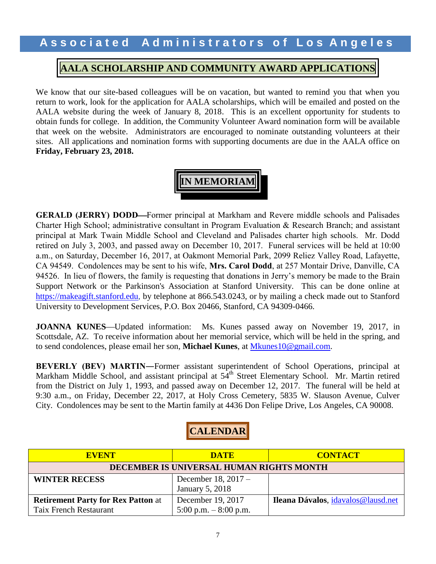### **AALA SCHOLARSHIP AND COMMUNITY AWARD APPLICATIONS**

We know that our site-based colleagues will be on vacation, but wanted to remind you that when you return to work, look for the application for AALA scholarships, which will be emailed and posted on the AALA website during the week of January 8, 2018. This is an excellent opportunity for students to obtain funds for college. In addition, the Community Volunteer Award nomination form will be available that week on the website. Administrators are encouraged to nominate outstanding volunteers at their sites. All applications and nomination forms with supporting documents are due in the AALA office on **Friday, February 23, 2018.** 

# **IN MEMORIAM**

**GERALD (JERRY) DODD—Former principal at Markham and Revere middle schools and Palisades** Charter High School; administrative consultant in Program Evaluation & Research Branch; and assistant principal at Mark Twain Middle School and Cleveland and Palisades charter high schools. Mr. Dodd retired on July 3, 2003, and passed away on December 10, 2017. Funeral services will be held at 10:00 a.m., on Saturday, December 16, 2017, at Oakmont Memorial Park, 2099 Reliez Valley Road, Lafayette, CA 94549. Condolences may be sent to his wife, **Mrs. Carol Dodd**, at 257 Montair Drive, Danville, CA 94526. In lieu of flowers, the family is requesting that donations in Jerry's memory be made to the Brain Support Network or the Parkinson's Association at Stanford University. This can be done online at [https://makeagift.stanford.edu,](https://makeagift.stanford.edu/) by telephone at 866.543.0243, or by mailing a check made out to Stanford University to Development Services, P.O. Box 20466, Stanford, CA 94309-0466.

**JOANNA KUNES**—Updated information: Ms. Kunes passed away on November 19, 2017, in Scottsdale, AZ. To receive information about her memorial service, which will be held in the spring, and to send condolences, please email her son, **Michael Kunes**, at [Mkunes10@gmail.com.](mailto:Mkunes10@gmail.com)

**BEVERLY (BEV) MARTIN―**Former assistant superintendent of School Operations, principal at Markham Middle School, and assistant principal at 54<sup>th</sup> Street Elementary School. Mr. Martin retired from the District on July 1, 1993, and passed away on December 12, 2017. The funeral will be held at 9:30 a.m., on Friday, December 22, 2017, at Holy Cross Cemetery, 5835 W. Slauson Avenue, Culver City. Condolences may be sent to the Martin family at 4436 Don Felipe Drive, Los Angeles, CA 90008.

**CALENDAR**

| <b>EVENT</b>                              | <b>DATE</b>            | <b>CONTACT</b>                     |  |
|-------------------------------------------|------------------------|------------------------------------|--|
| DECEMBER IS UNIVERSAL HUMAN RIGHTS MONTH  |                        |                                    |  |
| <b>WINTER RECESS</b>                      | December 18, 2017 -    |                                    |  |
|                                           | January 5, 2018        |                                    |  |
| <b>Retirement Party for Rex Patton at</b> | December 19, 2017      | Ileana Dávalos, idavalos@lausd.net |  |
| <b>Taix French Restaurant</b>             | 5:00 p.m. $-8:00$ p.m. |                                    |  |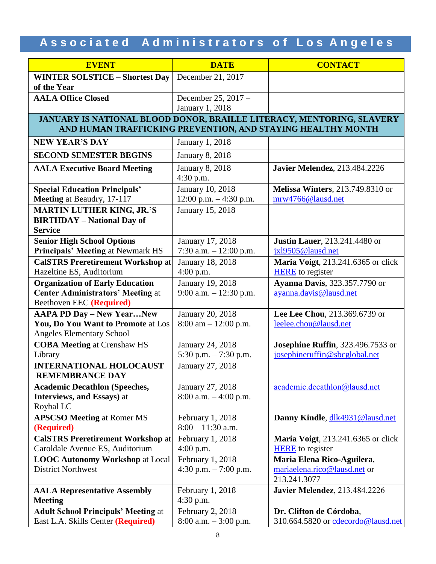| <b>EVENT</b>                                                                                                                         | <b>DATE</b>                                        | <b>CONTACT</b>                                                             |  |
|--------------------------------------------------------------------------------------------------------------------------------------|----------------------------------------------------|----------------------------------------------------------------------------|--|
| <b>WINTER SOLSTICE - Shortest Day</b><br>of the Year                                                                                 | December 21, 2017                                  |                                                                            |  |
| <b>AALA Office Closed</b>                                                                                                            | December 25, 2017 -<br><b>January 1, 2018</b>      |                                                                            |  |
| JANUARY IS NATIONAL BLOOD DONOR, BRAILLE LITERACY, MENTORING, SLAVERY<br>AND HUMAN TRAFFICKING PREVENTION, AND STAYING HEALTHY MONTH |                                                    |                                                                            |  |
| <b>NEW YEAR'S DAY</b>                                                                                                                | January 1, 2018                                    |                                                                            |  |
| <b>SECOND SEMESTER BEGINS</b>                                                                                                        | <b>January 8, 2018</b>                             |                                                                            |  |
| <b>AALA Executive Board Meeting</b>                                                                                                  | <b>January 8, 2018</b><br>4:30 p.m.                | <b>Javier Melendez</b> , 213.484.2226                                      |  |
| <b>Special Education Principals'</b><br>Meeting at Beaudry, 17-117                                                                   | January 10, 2018<br>12:00 p.m. - 4:30 p.m.         | <b>Melissa Winters</b> , 213.749.8310 or<br>mrw4766@lausd.net              |  |
| <b>MARTIN LUTHER KING, JR.'S</b><br><b>BIRTHDAY - National Day of</b><br><b>Service</b>                                              | January 15, 2018                                   |                                                                            |  |
| <b>Senior High School Options</b><br>Principals' Meeting at Newmark HS                                                               | January 17, 2018<br>7:30 a.m. - 12:00 p.m.         | <b>Justin Lauer</b> , 213.241.4480 or<br>ix19505@lausd.net                 |  |
| <b>CalSTRS Preretirement Workshop at</b><br>Hazeltine ES, Auditorium                                                                 | <b>January 18, 2018</b><br>4:00 p.m.               | Maria Voigt, 213.241.6365 or click<br><b>HERE</b> to register              |  |
| <b>Organization of Early Education</b><br><b>Center Administrators' Meeting at</b><br>Beethoven EEC (Required)                       | <b>January 19, 2018</b><br>9:00 a.m. $-12:30$ p.m. | <b>Ayanna Davis</b> , 323.357.7790 or<br>ayanna.davis@lausd.net            |  |
| <b>AAPA PD Day - New YearNew</b><br>You, Do You Want to Promote at Los<br>Angeles Elementary School                                  | January 20, 2018<br>$8:00$ am $-12:00$ p.m.        | Lee Lee Chou, 213.369.6739 or<br>leelee.chou@lausd.net                     |  |
| <b>COBA Meeting at Crenshaw HS</b><br>Library                                                                                        | January 24, 2018<br>5:30 p.m. - 7:30 p.m.          | Josephine Ruffin, 323.496.7533 or<br>josephineruffin@sbcglobal.net         |  |
| <b>INTERNATIONAL HOLOCAUST</b><br><b>REMEMBRANCE DAY</b>                                                                             | January 27, 2018                                   |                                                                            |  |
| <b>Academic Decathlon (Speeches,</b><br>Interviews, and Essays) at<br>Roybal LC                                                      | January 27, 2018<br>$8:00$ a.m. $-4:00$ p.m.       | academic.decathlon@lausd.net                                               |  |
| <b>APSCSO Meeting at Romer MS</b><br>(Required)                                                                                      | February 1, 2018<br>$8:00 - 11:30$ a.m.            | Danny Kindle, dlk4931@lausd.net                                            |  |
| <b>CalSTRS Preretirement Workshop at</b><br>Caroldale Avenue ES, Auditorium                                                          | February 1, 2018<br>4:00 p.m.                      | <b>Maria Voigt</b> , 213.241.6365 or click<br><b>HERE</b> to register      |  |
| <b>LOOC Autonomy Workshop at Local</b><br><b>District Northwest</b>                                                                  | February 1, 2018<br>4:30 p.m. $-7:00$ p.m.         | Maria Elena Rico-Aguilera,<br>mariaelena.rico@lausd.net or<br>213.241.3077 |  |
| <b>AALA Representative Assembly</b><br><b>Meeting</b>                                                                                | February 1, 2018<br>4:30 p.m.                      | <b>Javier Melendez</b> , 213.484.2226                                      |  |
| <b>Adult School Principals' Meeting at</b><br>East L.A. Skills Center (Required)                                                     | February 2, 2018<br>$8:00$ a.m. $-3:00$ p.m.       | Dr. Clifton de Córdoba,<br>310.664.5820 or cdecordo@lausd.net              |  |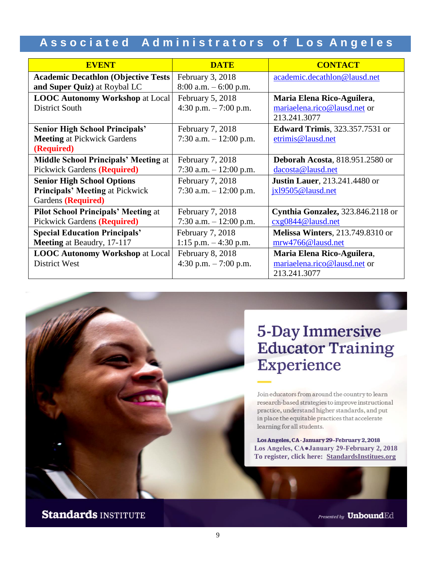| <b>EVENT</b>                                                                                      | <b>DATE</b>                                  | <b>CONTACT</b>                                                             |
|---------------------------------------------------------------------------------------------------|----------------------------------------------|----------------------------------------------------------------------------|
| <b>Academic Decathlon (Objective Tests)</b><br>and Super Quiz) at Roybal LC                       | February 3, 2018<br>$8:00$ a.m. $-6:00$ p.m. | academic.decathlon@lausd.net                                               |
| <b>LOOC Autonomy Workshop at Local</b><br>District South                                          | February 5, 2018<br>4:30 p.m. $-7:00$ p.m.   | Maria Elena Rico-Aguilera,<br>mariaelena.rico@lausd.net or<br>213.241.3077 |
| <b>Senior High School Principals'</b><br><b>Meeting at Pickwick Gardens</b><br>(Required)         | February 7, 2018<br>7:30 a.m. $-12:00$ p.m.  | <b>Edward Trimis</b> , 323.357.7531 or<br>etrimis@lausd.net                |
| <b>Middle School Principals' Meeting at</b><br>Pickwick Gardens (Required)                        | February 7, 2018<br>7:30 a.m. $-12:00$ p.m.  | <b>Deborah Acosta, 818.951.2580 or</b><br>dacosta@lausd.net                |
| <b>Senior High School Options</b><br><b>Principals' Meeting at Pickwick</b><br>Gardens (Required) | February 7, 2018<br>7:30 a.m. $-12:00$ p.m.  | <b>Justin Lauer</b> , 213.241.4480 or<br>jxl9505@lausd.net                 |
| <b>Pilot School Principals' Meeting at</b><br>Pickwick Gardens (Required)                         | February 7, 2018<br>7:30 a.m. $-12:00$ p.m.  | Cynthia Gonzalez, 323.846.2118 or<br>cxg0844@lausd.net                     |
| <b>Special Education Principals'</b><br><b>Meeting</b> at Beaudry, 17-117                         | February 7, 2018<br>1:15 p.m. $-4:30$ p.m.   | <b>Melissa Winters</b> , 213.749.8310 or<br>mrw4766@lausd.net              |
| <b>LOOC Autonomy Workshop at Local</b><br>District West                                           | February 8, 2018<br>4:30 p.m. $-7:00$ p.m.   | Maria Elena Rico-Aguilera,<br>mariaelena.rico@lausd.net or<br>213.241.3077 |

# **5-Day Immersive Educator Training Experience**

Join educators from around the country to learn research-based strategies to improve instructional practice, understand higher standards, and put in place the equitable practices that accelerate learning for all students.

Los Angeles, CA . January 29-February 2, 2018 **Los Angeles, CA●January 29-February 2, 2018 To register, click here: [StandardsInstitues.org](http://www.standardsinstitutes.org/attend-institute?utm_source=newsletter&utm_campaign=AALA)** 

# **Standards INSTITUTE**

Presented by **Unbound**Ed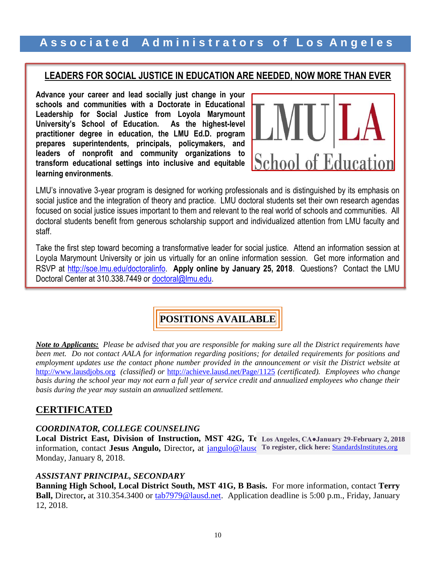### **LEADERS FOR SOCIAL JUSTICE IN EDUCATION ARE NEEDED, NOW MORE THAN EVER**

**Advance your career and lead socially just change in your schools and communities with a Doctorate in Educational Leadership for Social Justice from Loyola Marymount University's School of Education. As the highest-level practitioner degree in education, the LMU Ed.D. program prepares superintendents, principals, policymakers, and leaders of nonprofit and community organizations to transform educational settings into inclusive and equitable learning environments**.



LMU's innovative 3-year program is designed for working professionals and is distinguished by its emphasis on social justice and the integration of theory and practice. LMU doctoral students set their own research agendas focused on social justice issues important to them and relevant to the real world of schools and communities. All doctoral students benefit from generous scholarship support and individualized attention from LMU faculty and staff.

Take the first step toward becoming a transformative leader for social justice. Attend an information session at Loyola Marymount University or join us virtually for an online information session. Get more information and RSVP at [http://soe.lmu.edu/doctoralinfo.](http://soe.lmu.edu/doctoralinfo) **Apply online by January 25, 2018**. Questions? Contact the LMU Doctoral Center at 310.338.7449 or [doctoral@lmu.edu.](mailto:doctoral@lmu.edu)

### **POSITIONS AVAILABLE**

*Note to Applicants: Please be advised that you are responsible for making sure all the District requirements have been met. Do not contact AALA for information regarding positions; for detailed requirements for positions and employment updates use the contact phone number provided in the announcement or visit the District website at* [http://www.lausdjobs.org](http://www.lausdjobs.org/) *(classified) or* <http://achieve.lausd.net/Page/1125> *(certificated). Employees who change basis during the school year may not earn a full year of service credit and annualized employees who change their basis during the year may sustain an annualized settlement.*

### **CERTIFICATED**

### *COORDINATOR, COLLEGE COUNSELING*

**Local District East, Division of Instruction, MST 42G, Te Los Angeles, CA●January 29-February 2, 2018** information, contact Jesus Angulo, Director, at **jangulo@lausd** To register, click here: **[StandardsInstitutes.org](http://www.standardsinstitutes.org/attend-institute?utm_source=newsletter&utm_campaign=AALA)** Monday, January 8, 2018.

### *ASSISTANT PRINCIPAL, SECONDARY*

**Banning High School, Local District South, MST 41G, B Basis.** For more information, contact **Terry Ball,** Director**,** at 310.354.3400 or [tab7979@lausd.net.](mailto:tab7979@lausd.net) Application deadline is 5:00 p.m., Friday, January 12, 2018.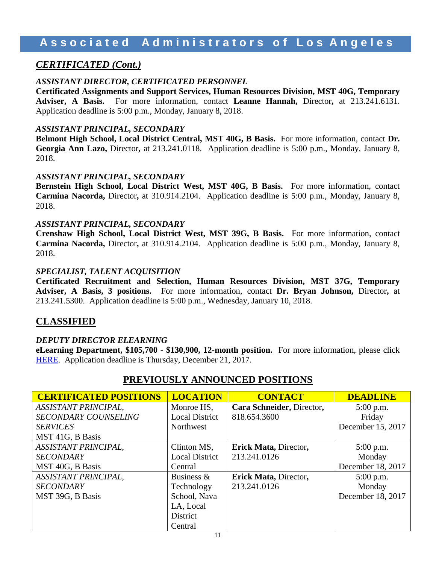# **A s s o c i a t e d A d m i n i s t r a t o r s o f L o s A n g e l e s**

### *CERTIFICATED (Cont.)*

### *ASSISTANT DIRECTOR, CERTIFICATED PERSONNEL*

**Certificated Assignments and Support Services, Human Resources Division, MST 40G, Temporary Adviser, A Basis.** For more information, contact **Leanne Hannah,** Director**,** at 213.241.6131. Application deadline is 5:00 p.m., Monday, January 8, 2018.

### *ASSISTANT PRINCIPAL, SECONDARY*

**Belmont High School, Local District Central, MST 40G, B Basis.** For more information, contact **Dr. Georgia Ann Lazo,** Director**,** at 213.241.0118. Application deadline is 5:00 p.m., Monday, January 8, 2018.

### *ASSISTANT PRINCIPAL, SECONDARY*

**Bernstein High School, Local District West, MST 40G, B Basis.** For more information, contact **Carmina Nacorda,** Director**,** at 310.914.2104. Application deadline is 5:00 p.m., Monday, January 8, 2018.

### *ASSISTANT PRINCIPAL, SECONDARY*

**Crenshaw High School, Local District West, MST 39G, B Basis.** For more information, contact **Carmina Nacorda,** Director**,** at 310.914.2104. Application deadline is 5:00 p.m., Monday, January 8, 2018.

### *SPECIALIST, TALENT ACQUISITION*

**Certificated Recruitment and Selection, Human Resources Division, MST 37G, Temporary Adviser, A Basis, 3 positions.** For more information, contact **Dr. Bryan Johnson,** Director**,** at 213.241.5300. Application deadline is 5:00 p.m., Wednesday, January 10, 2018.

### **CLASSIFIED**

### *DEPUTY DIRECTOR ELEARNING*

**eLearning Department, \$105,700 - \$130,900, 12-month position.** For more information, please click [HERE.](https://btserec.lausd.net/sap/bc/webdynpro/sap/zerwd_a_refcode_srch_int?sap-client=910) Application deadline is Thursday, December 21, 2017.

| <b>CERTIFICATED POSITIONS</b> | <b>LOCATION</b>       | <b>CONTACT</b>            | <b>DEADLINE</b>   |
|-------------------------------|-----------------------|---------------------------|-------------------|
| <b>ASSISTANT PRINCIPAL,</b>   | Monroe HS,            | Cara Schneider, Director, | $5:00$ p.m.       |
| <b>SECONDARY COUNSELING</b>   | <b>Local District</b> | 818.654.3600              | Friday            |
| <b>SERVICES</b>               | Northwest             |                           | December 15, 2017 |
| MST 41G, B Basis              |                       |                           |                   |
| <b>ASSISTANT PRINCIPAL,</b>   | Clinton MS,           | Erick Mata, Director,     | $5:00$ p.m.       |
| <b>SECONDARY</b>              | <b>Local District</b> | 213.241.0126              | Monday            |
| MST 40G, B Basis              | Central               |                           | December 18, 2017 |
| <b>ASSISTANT PRINCIPAL,</b>   | Business $\&$         | Erick Mata, Director,     | $5:00$ p.m.       |
| <b>SECONDARY</b>              | Technology            | 213.241.0126              | Monday            |
| MST 39G, B Basis              | School, Nava          |                           | December 18, 2017 |
|                               | LA, Local             |                           |                   |
|                               | District              |                           |                   |
|                               | Central               |                           |                   |

### **PREVIOUSLY ANNOUNCED POSITIONS**